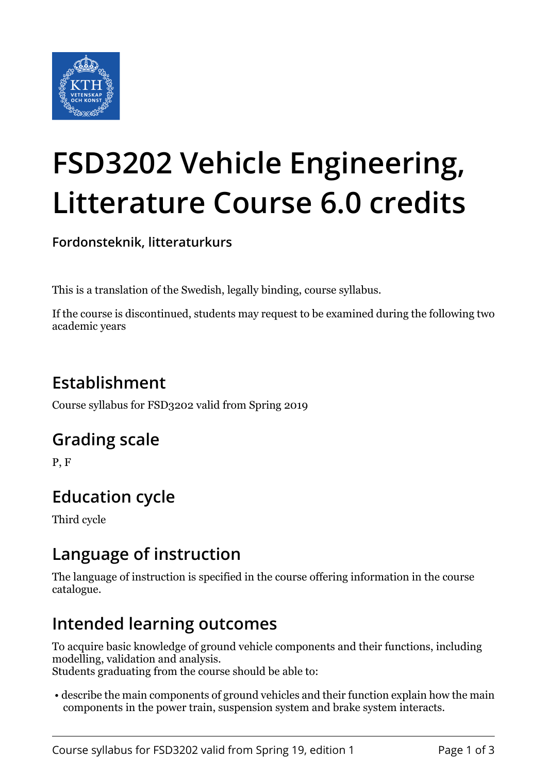

# **FSD3202 Vehicle Engineering, Litterature Course 6.0 credits**

**Fordonsteknik, litteraturkurs**

This is a translation of the Swedish, legally binding, course syllabus.

If the course is discontinued, students may request to be examined during the following two academic years

# **Establishment**

Course syllabus for FSD3202 valid from Spring 2019

## **Grading scale**

P, F

# **Education cycle**

Third cycle

## **Language of instruction**

The language of instruction is specified in the course offering information in the course catalogue.

## **Intended learning outcomes**

To acquire basic knowledge of ground vehicle components and their functions, including modelling, validation and analysis.

Students graduating from the course should be able to:

 • describe the main components of ground vehicles and their function explain how the main components in the power train, suspension system and brake system interacts.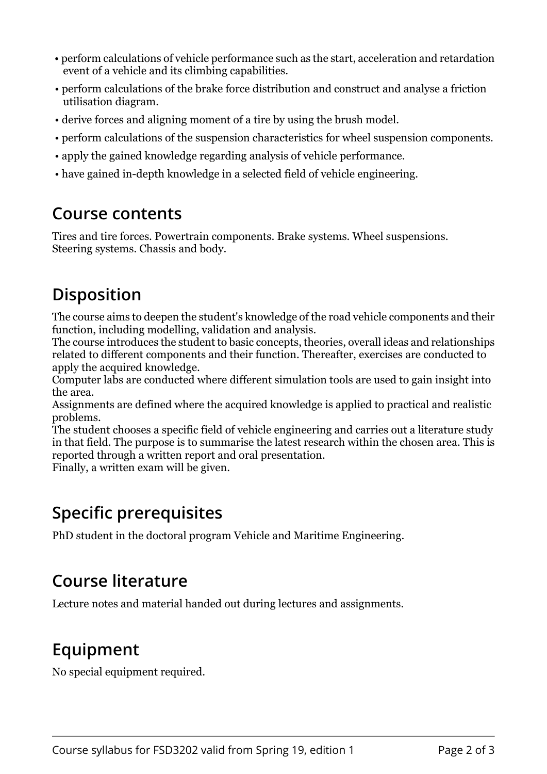- perform calculations of vehicle performance such as the start, acceleration and retardation event of a vehicle and its climbing capabilities.
- perform calculations of the brake force distribution and construct and analyse a friction utilisation diagram.
- derive forces and aligning moment of a tire by using the brush model.
- perform calculations of the suspension characteristics for wheel suspension components.
- apply the gained knowledge regarding analysis of vehicle performance.
- have gained in-depth knowledge in a selected field of vehicle engineering.

## **Course contents**

Tires and tire forces. Powertrain components. Brake systems. Wheel suspensions. Steering systems. Chassis and body.

## **Disposition**

The course aims to deepen the student's knowledge of the road vehicle components and their function, including modelling, validation and analysis.

The course introduces the student to basic concepts, theories, overall ideas and relationships related to different components and their function. Thereafter, exercises are conducted to apply the acquired knowledge.

Computer labs are conducted where different simulation tools are used to gain insight into the area.

Assignments are defined where the acquired knowledge is applied to practical and realistic problems.

The student chooses a specific field of vehicle engineering and carries out a literature study in that field. The purpose is to summarise the latest research within the chosen area. This is reported through a written report and oral presentation.

Finally, a written exam will be given.

## **Specific prerequisites**

PhD student in the doctoral program Vehicle and Maritime Engineering.

## **Course literature**

Lecture notes and material handed out during lectures and assignments.

## **Equipment**

No special equipment required.